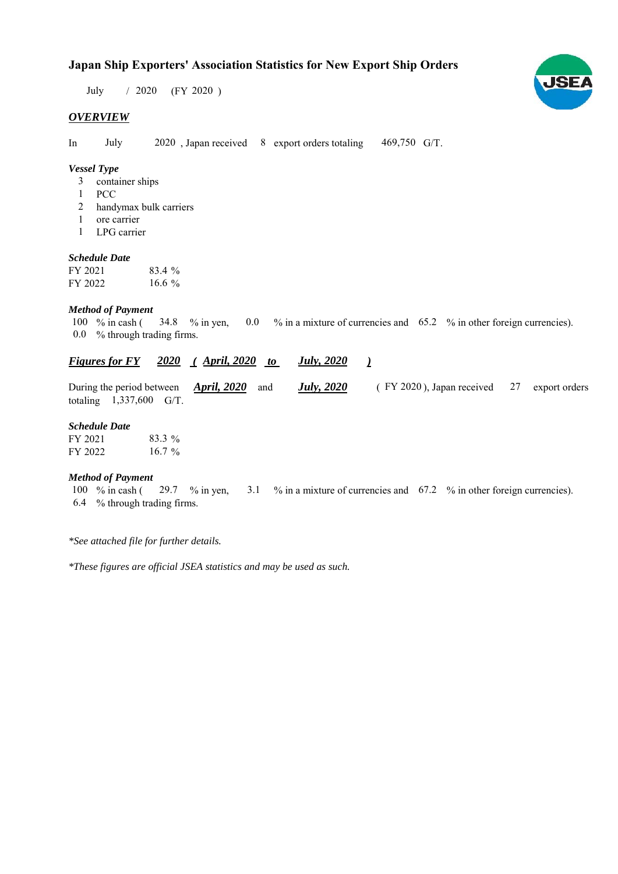# **Japan Ship Exporters' Association Statistics for New Export Ship Orders**

 $/ 2020$  (FY 2020) July

#### *OVERVIEW*

In July 2020, Japan received 8 export orders totaling 469,750 G/T.

#### *Vessel Type*

- container ships 3
- PCC 1
- handymax bulk carriers 2
- ore carrier 1
- LPG carrier 1

#### *Schedule Date*

| FY 2021 | 83.4 %   |
|---------|----------|
| FY 2022 | 16.6 $%$ |

#### *Method of Payment*

% in cash ( $\frac{34.8}{8}$  % in yen, 0.0 % in a mixture of currencies and 65.2 % in other foreign currencies). % through trading firms. 0.0 34.8 % in yen, 100 % in cash (

#### *<u>Figures for FY 2020 (April, 2020 to July, 2020 )</u> July, 2020*

| During the period between $\Delta pril$ , 2020 and |                           |  |  | (FY 2020), Japan received 27 export orders |  |  |
|----------------------------------------------------|---------------------------|--|--|--------------------------------------------|--|--|
|                                                    | totaling $1,337,600$ G/T. |  |  |                                            |  |  |

#### *Schedule Date*

| FY 2021 | 83.3 %   |
|---------|----------|
| FY 2022 | $16.7\%$ |

#### *Method of Payment*

% in cash ( $\frac{29.7}{8}$  in yen,  $\frac{3.1}{8}$  % in a mixture of currencies and 67.2 % in other foreign currencies). % through trading firms. 6.4 100  $%$  in cash (

*\*See attached file for further details.*

*\*These figures are official JSEA statistics and may be used as such.*

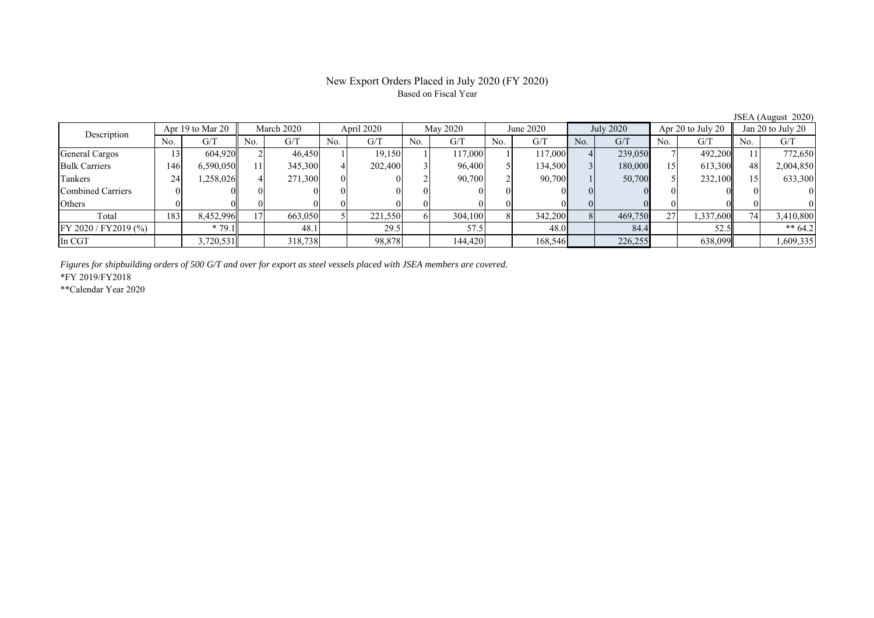## New Export Orders Placed in July 2020 (FY 2020) Based on Fiscal Year

No. G/T No. G/T No. G/T No. G/T No. G/T No. G/T No. G/T No. G/T General Cargos ( 13 604,920 2 46,450 1 19,150 1 117,000 1 117,000 4 239,050 7 492,200 11 772,650 Bulk Carriers | 146| 6,590,050|| 11| 345,300| 4| 202,400| 3| 96,400| 5| 134,500| 3| 180,000| 15| 613,300|| 48| 2,004,850 Tankers | 24| 1,258,026|| 4| 271,300| 0| 0| 2| 90,700| 2| 90,700| 1| 50,700| 5| 232,100|| 15| 633,300 Combined Carriers 0 0 0 0 0 0 0 0 0 0 0 0 0 0 0 0 Others 0 0 0 0 0 0 0 0 0 0 0 0 0 0 0 0 Total 183 8,452,996 17 663,050 5 221,550 6 304,100 8 342,200 8 469,750 27 1,337,600 74 3,410,800 FY 2020 / FY2019 (%) \* 79.1 48.1 48.1 29.5 57.5 48.0 84.4 52.5 \*\* 64.2 In CGT | | 3,720,531 | | 318,738 | | 98,878 | | 144,420 | | 168,546 | | 226,255 | | 638,099 | | 1,609,335 Description Apr 19 to Mar 20 | March 2020 | April 2020 | May 2020 | June 2020 July 2020 Apr 20 to July 20 | Jan 20 to July 20

*Figures for shipbuilding orders of 500 G/T and over for export as steel vessels placed with JSEA members are covered.*

\*FY 2019/FY2018

\*\*Calendar Year 2020

JSEA (August 2020)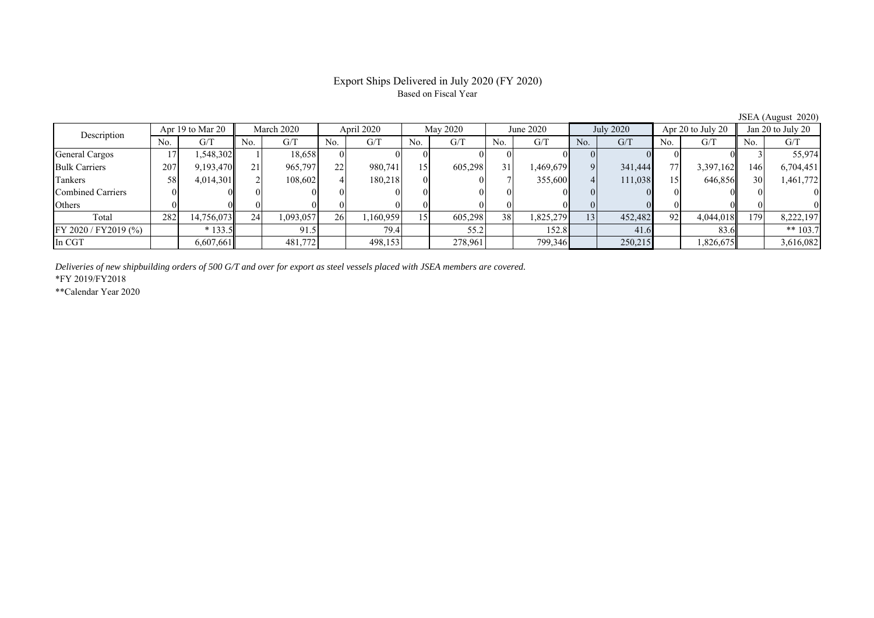## Export Ships Delivered in July 2020 (FY 2020) Based on Fiscal Year

JSEA (August 2020)<br>
Jan 20 to July 20 No. G/T No. G/T No. G/T No. G/T No. G/T No. G/T No. G/T No. G/T General Cargos 17 1,548,302 1 18,658 0 0 0 0 0 0 0 0 0 0 3 55,974 Bulk Carriers 207 9,193,470 21 965,797 22 980,741 15 605,298 31 1,469,679 9 341,444 77 3,397,162 146 6,704,451 Tankers | 58| 4,014,301|| 2| 108,602| 4| 180,218| 0| 0| 7| 355,600| 4| 111,038| 15| 646,856|| 30| 1,461,772 Combined Carriers 0 0 0 0 0 0 0 0 0 0 0 0 0 0 0 0 Others 0 0 0 0 0 0 0 0 0 0 0 0 0 0 0 0 Total 282 14,756,073 24 1,093,057 26 1,160,959 15 605,298 38 1,825,279 13 452,482 92 4,044,018 179 8,222,197 FY 2020 / FY2019 (%) \* 133.5 91.5 79.4 55.2 152.8 41.6 83.6 \*\* 103.7 In CGT | | 6,607,661 | | 481,772 | | 498,153 | | 278,961 | | 799,346 | | 250,215 | | 1,826,675 || | 3,616,082 Description Apr 19 to Mar 20 March 2020 April 2020 May 2020 May 2020 June  $2020$  July  $2020$  Apr  $20$  to July  $20$ 

*Deliveries of new shipbuilding orders of 500 G/T and over for export as steel vessels placed with JSEA members are covered.*

\*FY 2019/FY2018

\*\*Calendar Year 2020